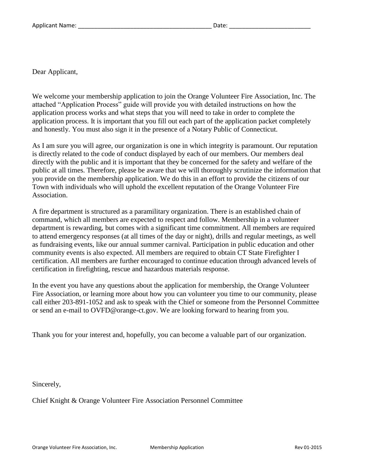Dear Applicant,

We welcome your membership application to join the Orange Volunteer Fire Association, Inc. The attached "Application Process" guide will provide you with detailed instructions on how the application process works and what steps that you will need to take in order to complete the application process. It is important that you fill out each part of the application packet completely and honestly. You must also sign it in the presence of a Notary Public of Connecticut.

As I am sure you will agree, our organization is one in which integrity is paramount. Our reputation is directly related to the code of conduct displayed by each of our members. Our members deal directly with the public and it is important that they be concerned for the safety and welfare of the public at all times. Therefore, please be aware that we will thoroughly scrutinize the information that you provide on the membership application. We do this in an effort to provide the citizens of our Town with individuals who will uphold the excellent reputation of the Orange Volunteer Fire Association.

A fire department is structured as a paramilitary organization. There is an established chain of command, which all members are expected to respect and follow. Membership in a volunteer department is rewarding, but comes with a significant time commitment. All members are required to attend emergency responses (at all times of the day or night), drills and regular meetings, as well as fundraising events, like our annual summer carnival. Participation in public education and other community events is also expected. All members are required to obtain CT State Firefighter I certification. All members are further encouraged to continue education through advanced levels of certification in firefighting, rescue and hazardous materials response.

In the event you have any questions about the application for membership, the Orange Volunteer Fire Association, or learning more about how you can volunteer you time to our community, please call either 203-891-1052 and ask to speak with the Chief or someone from the Personnel Committee or send an e-mail to OVFD@orange-ct.gov. We are looking forward to hearing from you.

Thank you for your interest and, hopefully, you can become a valuable part of our organization.

Sincerely,

Chief Knight & Orange Volunteer Fire Association Personnel Committee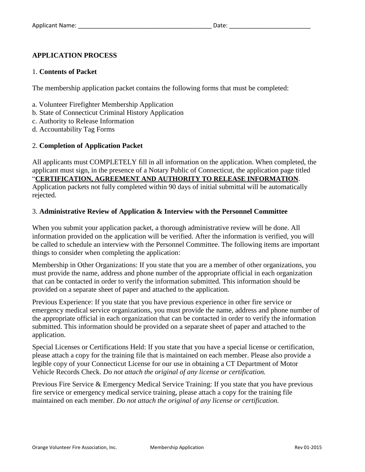# **APPLICATION PROCESS**

#### 1. **Contents of Packet**

The membership application packet contains the following forms that must be completed:

- a. Volunteer Firefighter Membership Application
- b. State of Connecticut Criminal History Application
- c. Authority to Release Information
- d. Accountability Tag Forms

## 2. **Completion of Application Packet**

All applicants must COMPLETELY fill in all information on the application. When completed, the applicant must sign, in the presence of a Notary Public of Connecticut, the application page titled "**CERTIFICATION, AGREEMENT AND AUTHORITY TO RELEASE INFORMATION**. Application packets not fully completed within 90 days of initial submittal will be automatically rejected.

## 3. **Administrative Review of Application & Interview with the Personnel Committee**

When you submit your application packet, a thorough administrative review will be done. All information provided on the application will be verified. After the information is verified, you will be called to schedule an interview with the Personnel Committee. The following items are important things to consider when completing the application:

Membership in Other Organizations: If you state that you are a member of other organizations, you must provide the name, address and phone number of the appropriate official in each organization that can be contacted in order to verify the information submitted. This information should be provided on a separate sheet of paper and attached to the application.

Previous Experience: If you state that you have previous experience in other fire service or emergency medical service organizations, you must provide the name, address and phone number of the appropriate official in each organization that can be contacted in order to verify the information submitted. This information should be provided on a separate sheet of paper and attached to the application.

Special Licenses or Certifications Held: If you state that you have a special license or certification, please attach a copy for the training file that is maintained on each member. Please also provide a legible copy of your Connecticut License for our use in obtaining a CT Department of Motor Vehicle Records Check. *Do not attach the original of any license or certification.*

Previous Fire Service & Emergency Medical Service Training: If you state that you have previous fire service or emergency medical service training, please attach a copy for the training file maintained on each member. *Do not attach the original of any license or certification.*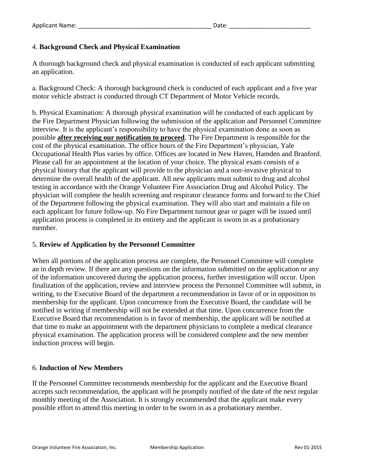## 4. **Background Check and Physical Examination**

A thorough background check and physical examination is conducted of each applicant submitting an application.

a. Background Check: A thorough background check is conducted of each applicant and a five year motor vehicle abstract is conducted through CT Department of Motor Vehicle records.

b. Physical Examination: A thorough physical examination will be conducted of each applicant by the Fire Department Physician following the submission of the application and Personnel Committee interview. It is the applicant's responsibility to have the physical examination done as soon as possible **after receiving our notification to proceed**. The Fire Department is responsible for the cost of the physical examination. The office hours of the Fire Department's physician, Yale Occupational Health Plus varies by office. Offices are located in New Haven, Hamden and Branford. Please call for an appointment at the location of your choice. The physical exam consists of a physical history that the applicant will provide to the physician and a non-invasive physical to determine the overall health of the applicant. All new applicants must submit to drug and alcohol testing in accordance with the Orange Volunteer Fire Association Drug and Alcohol Policy. The physician will complete the health screening and respirator clearance forms and forward to the Chief of the Department following the physical examination. They will also start and maintain a file on each applicant for future follow-up. No Fire Department turnout gear or pager will be issued until application process is completed in its entirety and the applicant is sworn in as a probationary member.

## 5. **Review of Application by the Personnel Committee**

When all portions of the application process are complete, the Personnel Committee will complete an in depth review. If there are any questions on the information submitted on the application or any of the information uncovered during the application process, further investigation will occur. Upon finalization of the application, review and interview process the Personnel Committee will submit, in writing, to the Executive Board of the department a recommendation in favor of or in opposition to membership for the applicant. Upon concurrence from the Executive Board, the candidate will be notified in writing if membership will not be extended at that time. Upon concurrence from the Executive Board that recommendation is in favor of membership, the applicant will be notified at that time to make an appointment with the department physicians to complete a medical clearance physical examination. The application process will be considered complete and the new member induction process will begin.

## 6. **Induction of New Members**

If the Personnel Committee recommends membership for the applicant and the Executive Board accepts such recommendation, the applicant will be promptly notified of the date of the next regular monthly meeting of the Association. It is strongly recommended that the applicant make every possible effort to attend this meeting in order to be sworn in as a probationary member.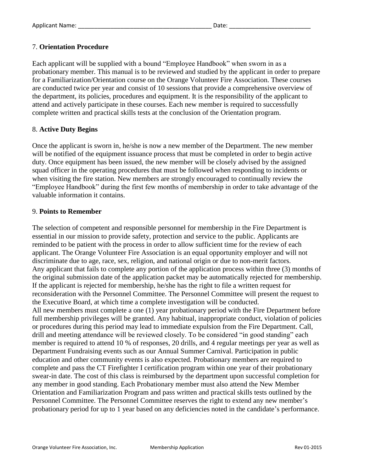# 7. **Orientation Procedure**

Each applicant will be supplied with a bound "Employee Handbook" when sworn in as a probationary member. This manual is to be reviewed and studied by the applicant in order to prepare for a Familiarization/Orientation course on the Orange Volunteer Fire Association. These courses are conducted twice per year and consist of 10 sessions that provide a comprehensive overview of the department, its policies, procedures and equipment. It is the responsibility of the applicant to attend and actively participate in these courses. Each new member is required to successfully complete written and practical skills tests at the conclusion of the Orientation program.

## 8. **Active Duty Begins**

Once the applicant is sworn in, he/she is now a new member of the Department. The new member will be notified of the equipment issuance process that must be completed in order to begin active duty. Once equipment has been issued, the new member will be closely advised by the assigned squad officer in the operating procedures that must be followed when responding to incidents or when visiting the fire station. New members are strongly encouraged to continually review the "Employee Handbook" during the first few months of membership in order to take advantage of the valuable information it contains.

### 9. **Points to Remember**

The selection of competent and responsible personnel for membership in the Fire Department is essential in our mission to provide safety, protection and service to the public. Applicants are reminded to be patient with the process in order to allow sufficient time for the review of each applicant. The Orange Volunteer Fire Association is an equal opportunity employer and will not discriminate due to age, race, sex, religion, and national origin or due to non-merit factors. Any applicant that fails to complete any portion of the application process within three (3) months of the original submission date of the application packet may be automatically rejected for membership. If the applicant is rejected for membership, he/she has the right to file a written request for reconsideration with the Personnel Committee. The Personnel Committee will present the request to the Executive Board, at which time a complete investigation will be conducted. All new members must complete a one (1) year probationary period with the Fire Department before full membership privileges will be granted. Any habitual, inappropriate conduct, violation of policies or procedures during this period may lead to immediate expulsion from the Fire Department. Call, drill and meeting attendance will be reviewed closely. To be considered "in good standing" each member is required to attend 10 % of responses, 20 drills, and 4 regular meetings per year as well as Department Fundraising events such as our Annual Summer Carnival. Participation in public education and other community events is also expected. Probationary members are required to complete and pass the CT Firefighter I certification program within one year of their probationary swear-in date. The cost of this class is reimbursed by the department upon successful completion for any member in good standing. Each Probationary member must also attend the New Member Orientation and Familiarization Program and pass written and practical skills tests outlined by the Personnel Committee. The Personnel Committee reserves the right to extend any new member's probationary period for up to 1 year based on any deficiencies noted in the candidate's performance.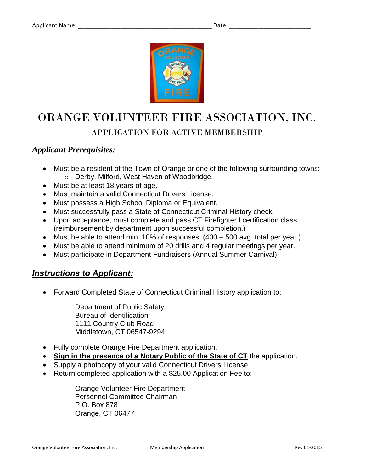

# ORANGE VOLUNTEER FIRE ASSOCIATION, INC. APPLICATION FOR ACTIVE MEMBERSHIP

# *Applicant Prerequisites:*

- Must be a resident of the Town of Orange or one of the following surrounding towns: o Derby, Milford, West Haven of Woodbridge.
- Must be at least 18 years of age.
- Must maintain a valid Connecticut Drivers License.
- Must possess a High School Diploma or Equivalent.
- Must successfully pass a State of Connecticut Criminal History check.
- Upon acceptance, must complete and pass CT Firefighter I certification class (reimbursement by department upon successful completion.)
- Must be able to attend min. 10% of responses. (400 500 avg. total per year.)
- Must be able to attend minimum of 20 drills and 4 regular meetings per year.
- Must participate in Department Fundraisers (Annual Summer Carnival)

# *Instructions to Applicant:*

Forward Completed State of Connecticut Criminal History application to:

Department of Public Safety Bureau of Identification 1111 Country Club Road Middletown, CT 06547-9294

- Fully complete Orange Fire Department application.
- **Sign in the presence of a Notary Public of the State of CT** the application.
- Supply a photocopy of your valid Connecticut Drivers License.
- Return completed application with a \$25.00 Application Fee to:

Orange Volunteer Fire Department Personnel Committee Chairman P.O. Box 878 Orange, CT 06477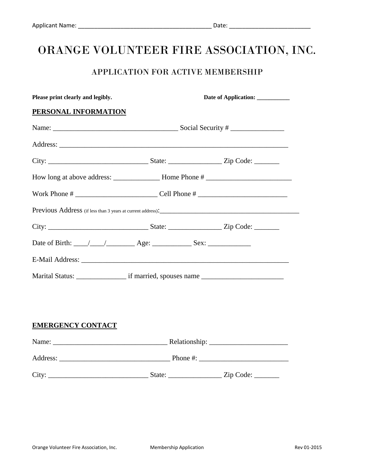# ORANGE VOLUNTEER FIRE ASSOCIATION, INC.

# APPLICATION FOR ACTIVE MEMBERSHIP

| Please print clearly and legibly. | Date of Application: _________ |  |  |  |
|-----------------------------------|--------------------------------|--|--|--|
| PERSONAL INFORMATION              |                                |  |  |  |
|                                   |                                |  |  |  |
|                                   |                                |  |  |  |
|                                   |                                |  |  |  |
|                                   |                                |  |  |  |
|                                   |                                |  |  |  |
|                                   |                                |  |  |  |
|                                   |                                |  |  |  |
|                                   |                                |  |  |  |
|                                   |                                |  |  |  |
|                                   |                                |  |  |  |
|                                   |                                |  |  |  |
|                                   |                                |  |  |  |
| <b>EMERGENCY CONTACT</b>          |                                |  |  |  |
|                                   |                                |  |  |  |
|                                   |                                |  |  |  |
|                                   |                                |  |  |  |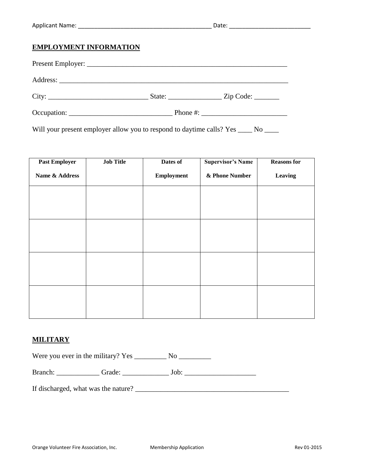# **EMPLOYMENT INFORMATION**

| City:       | State: <u>Zip Code:</u> |
|-------------|-------------------------|
| Occupation: | Phone $\#$ :            |

Will your present employer allow you to respond to daytime calls? Yes \_\_\_\_ No \_\_\_

| <b>Past Employer</b> | <b>Job Title</b> | Dates of          | <b>Supervisor's Name</b> | <b>Reasons for</b> |
|----------------------|------------------|-------------------|--------------------------|--------------------|
| Name & Address       |                  | <b>Employment</b> | & Phone Number           | Leaving            |
|                      |                  |                   |                          |                    |
|                      |                  |                   |                          |                    |
|                      |                  |                   |                          |                    |
|                      |                  |                   |                          |                    |
|                      |                  |                   |                          |                    |
|                      |                  |                   |                          |                    |
|                      |                  |                   |                          |                    |
|                      |                  |                   |                          |                    |

# **MILITARY**

Were you ever in the military? Yes \_\_\_\_\_\_\_\_\_\_\_ No \_\_\_\_\_\_\_\_\_\_\_\_

Branch: \_\_\_\_\_\_\_\_\_\_\_\_ Grade: \_\_\_\_\_\_\_\_\_\_\_\_\_ Job: \_\_\_\_\_\_\_\_\_\_\_\_\_\_\_\_\_\_\_\_

If discharged, what was the nature? \_\_\_\_\_\_\_\_\_\_\_\_\_\_\_\_\_\_\_\_\_\_\_\_\_\_\_\_\_\_\_\_\_\_\_\_\_\_\_\_\_\_\_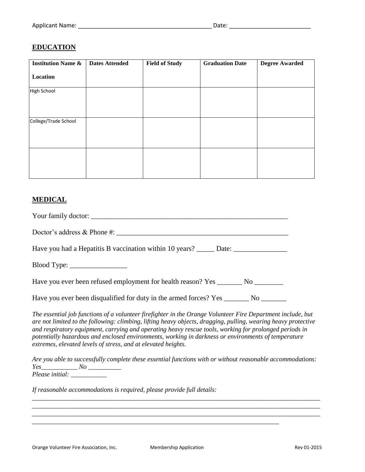# **EDUCATION**

| <b>Institution Name &amp;</b> | <b>Dates Attended</b> | <b>Field of Study</b> | <b>Graduation Date</b> | <b>Degree Awarded</b> |
|-------------------------------|-----------------------|-----------------------|------------------------|-----------------------|
| <b>Location</b>               |                       |                       |                        |                       |
| <b>High School</b>            |                       |                       |                        |                       |
| College/Trade School          |                       |                       |                        |                       |
|                               |                       |                       |                        |                       |

# **MEDICAL**

Your family doctor: \_\_\_\_\_\_\_\_\_\_\_\_\_\_\_\_\_\_\_\_\_\_\_\_\_\_\_\_\_\_\_\_\_\_\_\_\_\_\_\_\_\_\_\_\_\_\_\_\_\_\_\_\_\_\_

Doctor's address & Phone #: \_\_\_\_\_\_\_\_\_\_\_\_\_\_\_\_\_\_\_\_\_\_\_\_\_\_\_\_\_\_\_\_\_\_\_\_\_\_\_\_\_\_\_\_\_\_\_\_

Have you had a Hepatitis B vaccination within 10 years? \_\_\_\_\_ Date: \_\_\_\_\_\_\_\_\_\_\_\_

Blood Type:

Have you ever been refused employment for health reason? Yes \_\_\_\_\_\_\_\_ No \_\_\_\_\_\_\_\_

Have you ever been disqualified for duty in the armed forces? Yes \_\_\_\_\_\_\_\_ No \_\_\_\_\_\_\_

*The essential job functions of a volunteer firefighter in the Orange Volunteer Fire Department include, but are not limited to the following: climbing, lifting heavy objects, dragging, pulling, wearing heavy protective and respiratory equipment, carrying and operating heavy rescue tools, working for prolonged periods in potentially hazardous and enclosed environments, working in darkness or environments of temperature extremes, elevated levels of stress, and at elevated heights.* 

*Are you able to successfully complete these essential functions with or without reasonable accommodations: Yes\_\_\_\_\_\_\_\_\_\_\_ No \_\_\_\_\_\_\_\_\_\_ Please initial: \_\_\_\_\_\_\_\_\_\_\_*

*\_\_\_\_\_\_\_\_\_\_\_\_\_\_\_\_\_\_\_\_\_\_\_\_\_\_\_\_\_\_\_\_\_\_\_\_\_\_\_\_\_\_\_\_\_\_\_\_\_\_\_\_\_\_\_\_\_\_\_\_\_\_\_\_\_\_\_\_\_\_\_\_\_\_\_\_\_\_\_\_\_\_\_\_ \_\_\_\_\_\_\_\_\_\_\_\_\_\_\_\_\_\_\_\_\_\_\_\_\_\_\_\_\_\_\_\_\_\_\_\_\_\_\_\_\_\_\_\_\_\_\_\_\_\_\_\_\_\_\_\_\_\_\_\_\_\_\_\_\_\_\_\_\_\_\_\_\_\_\_\_\_\_\_\_\_\_\_\_ \_\_\_\_\_\_\_\_\_\_\_\_\_\_\_\_\_\_\_\_\_\_\_\_\_\_\_\_\_\_\_\_\_\_\_\_\_\_\_\_\_\_\_\_\_\_\_\_\_\_\_\_\_\_\_\_\_\_\_\_\_\_\_\_\_\_\_\_\_\_\_\_\_\_\_\_\_\_\_\_\_\_\_\_*

*\_\_\_\_\_\_\_\_\_\_\_\_\_\_\_\_\_\_\_\_\_\_\_\_\_\_\_\_\_\_\_\_\_\_\_\_\_\_\_\_\_\_\_\_\_\_\_\_\_\_\_\_\_\_\_\_\_\_\_\_\_\_\_\_\_\_\_\_\_\_\_\_*

*If reasonable accommodations is required, please provide full details:*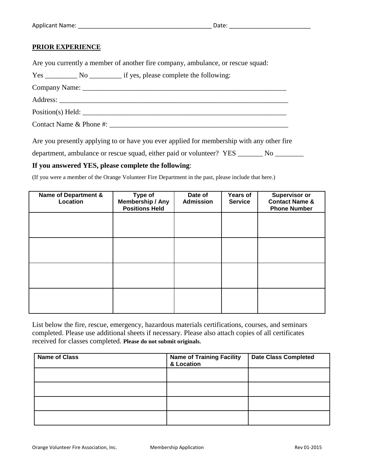### **PRIOR EXPERIENCE**

Are you currently a member of another fire company, ambulance, or rescue squad:

Yes \_\_\_\_\_\_\_\_ No \_\_\_\_\_\_\_\_\_\_ if yes, please complete the following:

Company Name: \_\_\_\_\_\_\_\_\_\_\_\_\_\_\_\_\_\_\_\_\_\_\_\_\_\_\_\_\_\_\_\_\_\_\_\_\_\_\_\_\_\_\_\_\_\_\_\_\_\_\_\_\_\_\_\_\_

Address: \_\_\_\_\_\_\_\_\_\_\_\_\_\_\_\_\_\_\_\_\_\_\_\_\_\_\_\_\_\_\_\_\_\_\_\_\_\_\_\_\_\_\_\_\_\_\_\_\_\_\_\_\_\_\_\_\_\_\_\_\_\_\_\_

 $Position(s)$  Held:

Contact Name & Phone #: \_\_\_\_\_\_\_\_\_\_\_\_\_\_\_\_\_\_\_\_\_\_\_\_\_\_\_\_\_\_\_\_\_\_\_\_\_\_\_\_\_\_\_\_\_\_\_\_\_\_

Are you presently applying to or have you ever applied for membership with any other fire

department, ambulance or rescue squad, either paid or volunteer? YES \_\_\_\_\_\_\_ No \_\_\_\_\_\_\_

### **If you answered YES, please complete the following**:

(If you were a member of the Orange Volunteer Fire Department in the past, please include that here.)

| Name of Department &<br>Location | Type of<br><b>Membership / Any</b><br><b>Positions Held</b> | Date of<br><b>Admission</b> | <b>Years of</b><br><b>Service</b> | Supervisor or<br><b>Contact Name &amp;</b><br><b>Phone Number</b> |
|----------------------------------|-------------------------------------------------------------|-----------------------------|-----------------------------------|-------------------------------------------------------------------|
|                                  |                                                             |                             |                                   |                                                                   |
|                                  |                                                             |                             |                                   |                                                                   |
|                                  |                                                             |                             |                                   |                                                                   |
|                                  |                                                             |                             |                                   |                                                                   |
|                                  |                                                             |                             |                                   |                                                                   |

List below the fire, rescue, emergency, hazardous materials certifications, courses, and seminars completed. Please use additional sheets if necessary. Please also attach copies of all certificates received for classes completed. **Please do not submit originals.**

| <b>Name of Class</b> | <b>Name of Training Facility</b><br>& Location | <b>Date Class Completed</b> |
|----------------------|------------------------------------------------|-----------------------------|
|                      |                                                |                             |
|                      |                                                |                             |
|                      |                                                |                             |
|                      |                                                |                             |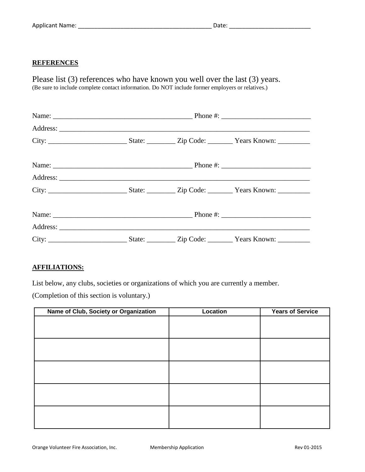## **REFERENCES**

Please list (3) references who have known you well over the last (3) years. (Be sure to include complete contact information. Do NOT include former employers or relatives.)

## **AFFILIATIONS:**

List below, any clubs, societies or organizations of which you are currently a member.

(Completion of this section is voluntary.)

| Name of Club, Society or Organization | Location | <b>Years of Service</b> |
|---------------------------------------|----------|-------------------------|
|                                       |          |                         |
|                                       |          |                         |
|                                       |          |                         |
|                                       |          |                         |
|                                       |          |                         |
|                                       |          |                         |
|                                       |          |                         |
|                                       |          |                         |
|                                       |          |                         |
|                                       |          |                         |
|                                       |          |                         |
|                                       |          |                         |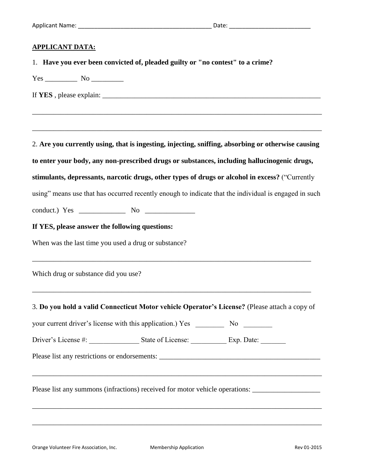| <b>APPLICANT DATA:</b>                                                                                                                                                                                                                                                     |
|----------------------------------------------------------------------------------------------------------------------------------------------------------------------------------------------------------------------------------------------------------------------------|
| 1. Have you ever been convicted of, pleaded guilty or "no contest" to a crime?                                                                                                                                                                                             |
|                                                                                                                                                                                                                                                                            |
| If YES, please explain: $\frac{1}{2}$ explaint $\frac{1}{2}$ explaint $\frac{1}{2}$ explaint $\frac{1}{2}$ explaint $\frac{1}{2}$ explaint $\frac{1}{2}$ explaint $\frac{1}{2}$ explaint $\frac{1}{2}$ explaint $\frac{1}{2}$ explaint $\frac{1}{2}$ explaint $\frac{1}{2$ |
|                                                                                                                                                                                                                                                                            |
| 2. Are you currently using, that is ingesting, injecting, sniffing, absorbing or otherwise causing                                                                                                                                                                         |
| to enter your body, any non-prescribed drugs or substances, including hallucinogenic drugs,                                                                                                                                                                                |
| stimulants, depressants, narcotic drugs, other types of drugs or alcohol in excess? ("Currently                                                                                                                                                                            |
| using" means use that has occurred recently enough to indicate that the individual is engaged in such                                                                                                                                                                      |
|                                                                                                                                                                                                                                                                            |
| If YES, please answer the following questions:                                                                                                                                                                                                                             |
| When was the last time you used a drug or substance?                                                                                                                                                                                                                       |
| <u> 1989 - Johann John Stone, Amerikaansk politiker (* 1989)</u><br>Which drug or substance did you use?                                                                                                                                                                   |
| 3. Do you hold a valid Connecticut Motor vehicle Operator's License? (Please attach a copy of                                                                                                                                                                              |
|                                                                                                                                                                                                                                                                            |
|                                                                                                                                                                                                                                                                            |
|                                                                                                                                                                                                                                                                            |
| Please list any summons (infractions) received for motor vehicle operations: _______________________                                                                                                                                                                       |

\_\_\_\_\_\_\_\_\_\_\_\_\_\_\_\_\_\_\_\_\_\_\_\_\_\_\_\_\_\_\_\_\_\_\_\_\_\_\_\_\_\_\_\_\_\_\_\_\_\_\_\_\_\_\_\_\_\_\_\_\_\_\_\_\_\_\_\_\_\_\_\_\_\_\_\_\_\_\_\_\_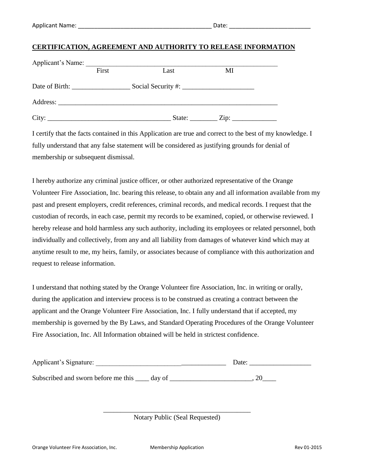### **CERTIFICATION, AGREEMENT AND AUTHORITY TO RELEASE INFORMATION**

| Applicant's Name: |       |      |                             |  |
|-------------------|-------|------|-----------------------------|--|
|                   | First | Last | МI                          |  |
|                   |       |      |                             |  |
|                   |       |      |                             |  |
| City:             |       |      | State: $\angle Zip: \angle$ |  |

I certify that the facts contained in this Application are true and correct to the best of my knowledge. I fully understand that any false statement will be considered as justifying grounds for denial of membership or subsequent dismissal.

I hereby authorize any criminal justice officer, or other authorized representative of the Orange Volunteer Fire Association, Inc. bearing this release, to obtain any and all information available from my past and present employers, credit references, criminal records, and medical records. I request that the custodian of records, in each case, permit my records to be examined, copied, or otherwise reviewed. I hereby release and hold harmless any such authority, including its employees or related personnel, both individually and collectively, from any and all liability from damages of whatever kind which may at anytime result to me, my heirs, family, or associates because of compliance with this authorization and request to release information.

I understand that nothing stated by the Orange Volunteer fire Association, Inc. in writing or orally, during the application and interview process is to be construed as creating a contract between the applicant and the Orange Volunteer Fire Association, Inc. I fully understand that if accepted, my membership is governed by the By Laws, and Standard Operating Procedures of the Orange Volunteer Fire Association, Inc. All Information obtained will be held in strictest confidence.

| Applicant's Signature:                     | Date: |
|--------------------------------------------|-------|
| Subscribed and sworn before me this day of |       |

\_\_\_\_\_\_\_\_\_\_\_\_\_\_\_\_\_\_\_\_\_\_\_\_\_\_\_\_\_\_\_\_\_\_\_\_\_\_\_\_\_\_\_ Notary Public (Seal Requested)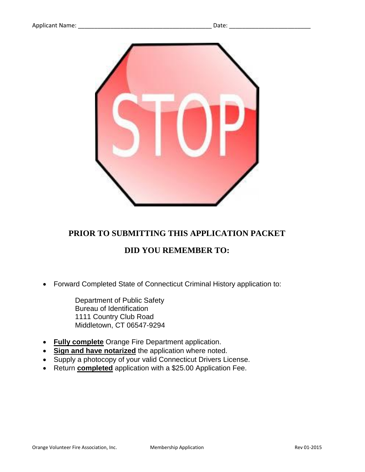

# **PRIOR TO SUBMITTING THIS APPLICATION PACKET**

# **DID YOU REMEMBER TO:**

Forward Completed State of Connecticut Criminal History application to:

Department of Public Safety Bureau of Identification 1111 Country Club Road Middletown, CT 06547-9294

- **Fully complete** Orange Fire Department application.
- **Sign and have notarized** the application where noted.
- Supply a photocopy of your valid Connecticut Drivers License.
- Return **completed** application with a \$25.00 Application Fee.